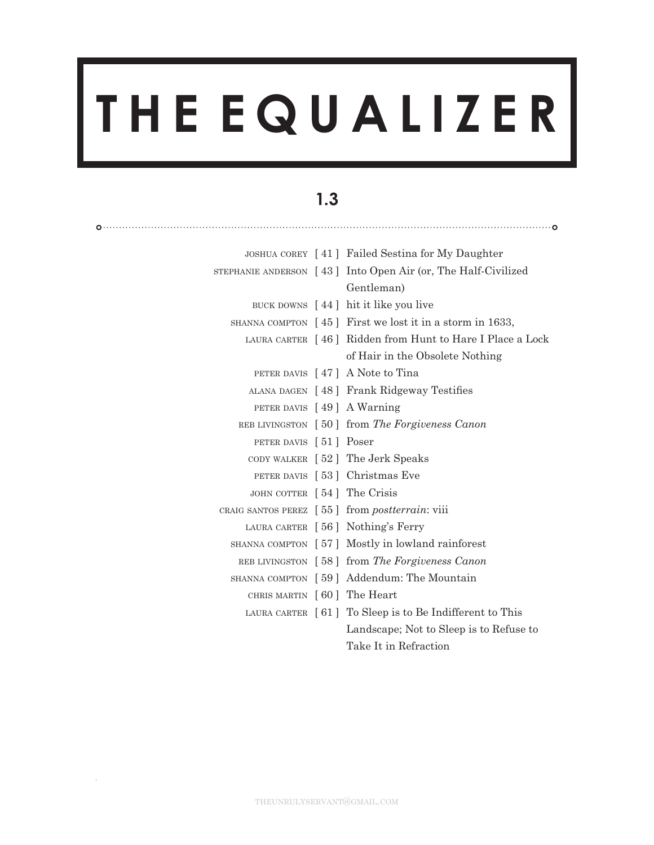# **T H E E Q U A L I Z E R**

# **1.3**

|                             | JOSHUA COREY [41] Failed Sestina for My Daughter                                     |
|-----------------------------|--------------------------------------------------------------------------------------|
|                             | STEPHANIE ANDERSON $[43]$ Into Open Air (or, The Half-Civilized                      |
|                             | Gentleman)                                                                           |
|                             | BUCK DOWNS $[44]$ hit it like you live                                               |
|                             | SHANNA COMPTON $\lceil 45 \rceil$ First we lost it in a storm in 1633,               |
|                             | LAURA CARTER [46] Ridden from Hunt to Hare I Place a Lock                            |
|                             | of Hair in the Obsolete Nothing                                                      |
|                             | PETER DAVIS $[47]$ A Note to Tina                                                    |
|                             | ALANA DAGEN [48] Frank Ridgeway Testifies                                            |
|                             | PETER DAVIS [49] A Warning                                                           |
|                             | REB LIVINGSTON [50] from The Forgiveness Canon                                       |
| PETER DAVIS [51] Poser      |                                                                                      |
|                             | CODY WALKER [52] The Jerk Speaks                                                     |
|                             | PETER DAVIS [53] Christmas Eve                                                       |
| JOHN COTTER [54] The Crisis |                                                                                      |
|                             | CRAIG SANTOS PEREZ $\begin{bmatrix} 55 \end{bmatrix}$ from <i>postterrain</i> : viii |
|                             | LAURA CARTER [56] Nothing's Ferry                                                    |
|                             | SHANNA COMPTON [57] Mostly in lowland rainforest                                     |
|                             | REB LIVINGSTON [58] from The Forgiveness Canon                                       |
|                             | SHANNA COMPTON [59] Addendum: The Mountain                                           |
| CHRIS MARTIN [60] The Heart |                                                                                      |
|                             | LAURA CARTER $\lceil 61 \rceil$ To Sleep is to Be Indifferent to This                |
|                             | Landscape; Not to Sleep is to Refuse to                                              |
|                             | Take It in Refraction                                                                |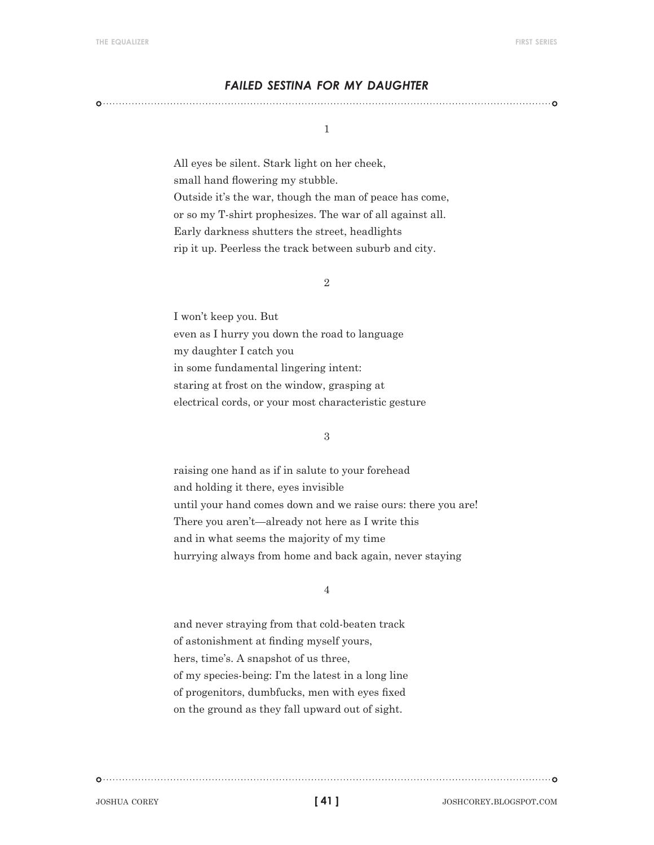#### *failed sestina for my daughter*

#### 1

All eyes be silent. Stark light on her cheek, small hand flowering my stubble. Outside it's the war, though the man of peace has come, or so my T-shirt prophesizes. The war of all against all. Early darkness shutters the street, headlights rip it up. Peerless the track between suburb and city.

#### 2

I won't keep you. But even as I hurry you down the road to language my daughter I catch you in some fundamental lingering intent: staring at frost on the window, grasping at electrical cords, or your most characteristic gesture

#### 3

raising one hand as if in salute to your forehead and holding it there, eyes invisible until your hand comes down and we raise ours: there you are! There you aren't—already not here as I write this and in what seems the majority of my time hurrying always from home and back again, never staying

#### 4

and never straying from that cold-beaten track of astonishment at finding myself yours, hers, time's. A snapshot of us three, of my species-being: I'm the latest in a long line of progenitors, dumbfucks, men with eyes fixed on the ground as they fall upward out of sight.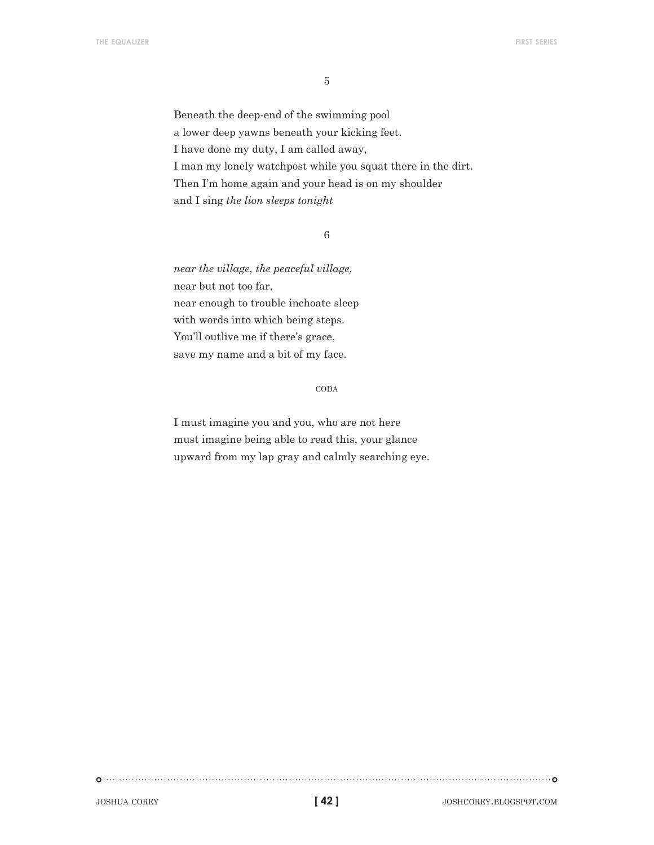5

Beneath the deep-end of the swimming pool a lower deep yawns beneath your kicking feet. I have done my duty, I am called away, I man my lonely watchpost while you squat there in the dirt. Then I'm home again and your head is on my shoulder and I sing *the lion sleeps tonight*

6

*near the village, the peaceful village,* near but not too far, near enough to trouble inchoate sleep with words into which being steps. You'll outlive me if there's grace, save my name and a bit of my face.

#### coda

I must imagine you and you, who are not here must imagine being able to read this, your glance upward from my lap gray and calmly searching eye.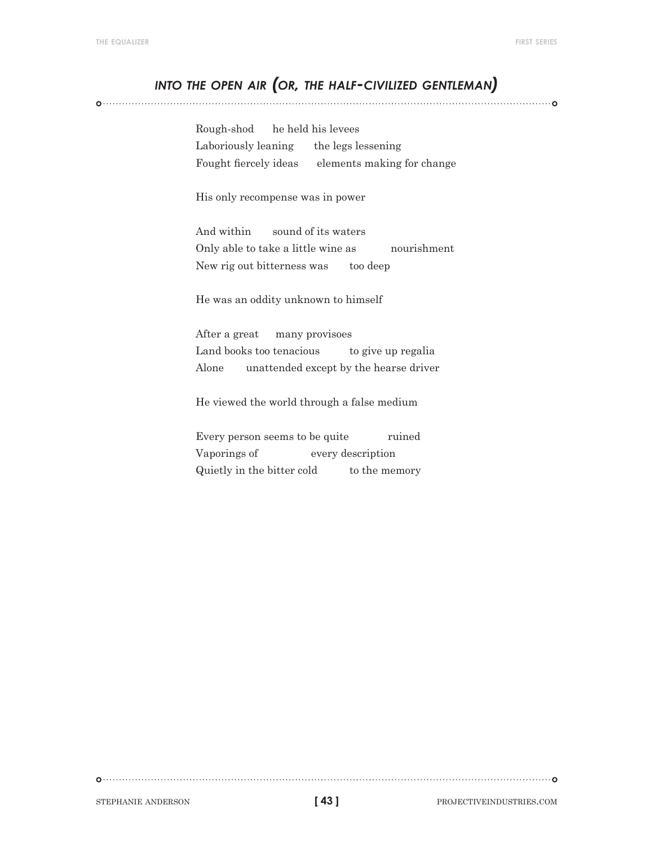## *into the open air (or, the half-civilized gentleman)*

Rough-shod he held his levees Laboriously leaning the legs lessening Fought fiercely ideas elements making for change

His only recompense was in power

And within sound of its waters Only able to take a little wine as nourishment New rig out bitterness was too deep

He was an oddity unknown to himself

After a great many provisoes Land books too tenacious to give up regalia Alone unattended except by the hearse driver

He viewed the world through a false medium

Every person seems to be quite ruined Vaporings of every description Quietly in the bitter cold to the memory

**[ 43 ]**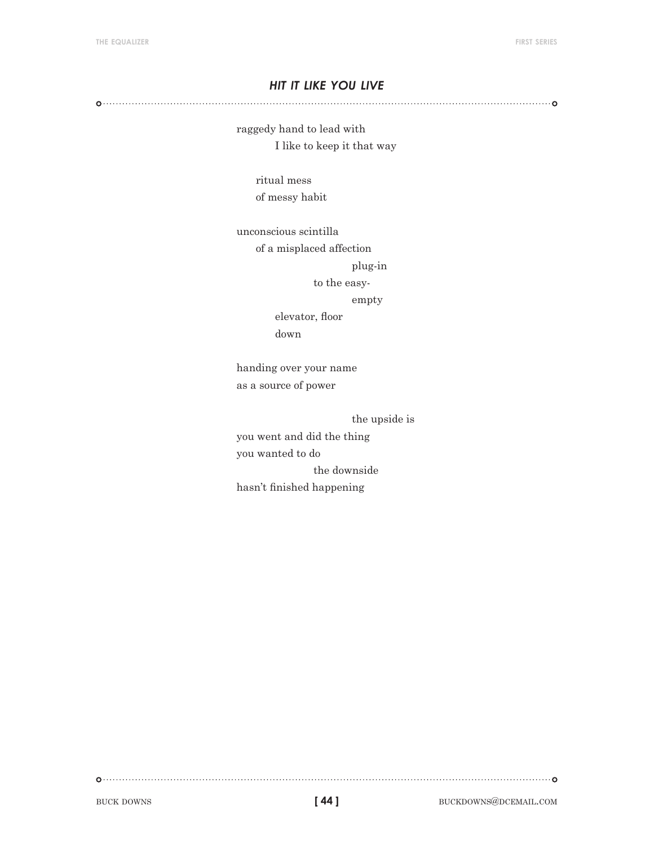#### *hit it like you live*

raggedy hand to lead with I like to keep it that way

> ritual mess of messy habit

unconscious scintilla

of a misplaced affection

plug-in

to the easy-

empty

elevator, floor down

handing over your name as a source of power

the upside is

you went and did the thing you wanted to do the downside hasn't finished happening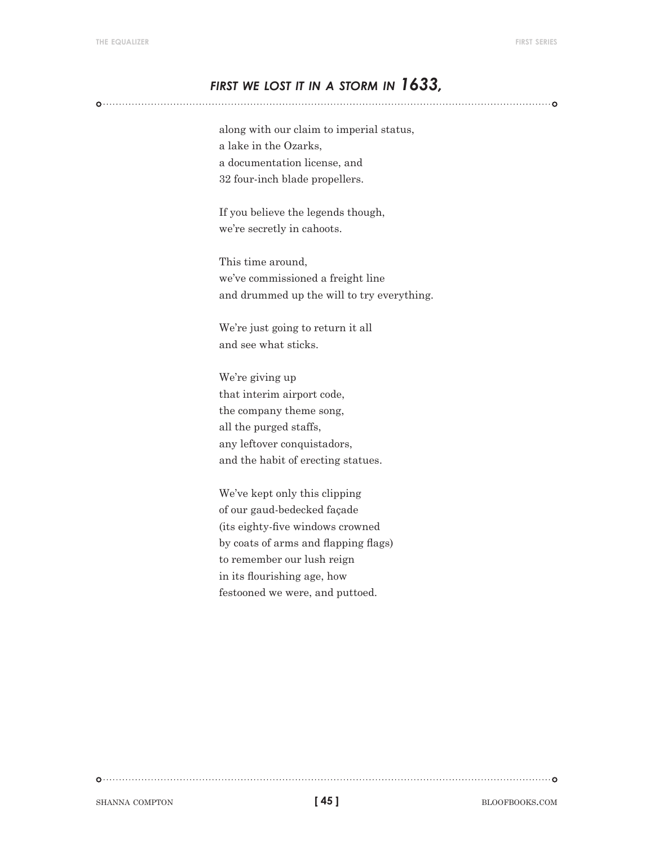## *first we lost it in <sup>a</sup> storm in 1633,*

along with our claim to imperial status, a lake in the Ozarks, a documentation license, and 32 four-inch blade propellers.

If you believe the legends though, we're secretly in cahoots.

This time around, we've commissioned a freight line and drummed up the will to try everything.

We're just going to return it all and see what sticks.

We're giving up that interim airport code, the company theme song, all the purged staffs, any leftover conquistadors, and the habit of erecting statues.

We've kept only this clipping of our gaud-bedecked façade (its eighty-five windows crowned by coats of arms and flapping flags) to remember our lush reign in its flourishing age, how festooned we were, and puttoed.

shanna compton blooks.com **compton blooks**.com **compton blooks.com c** 

**[ 45 ]**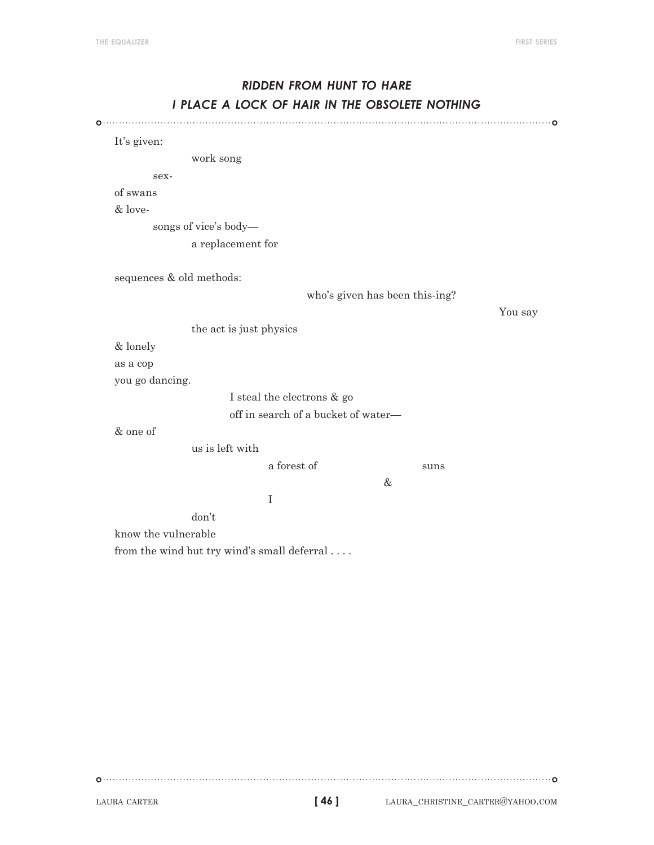# *ridden from hunt to hare i place a lock of hair in the obsolete nothing*

It's given: work song sexof swans & lovesongs of vice's body a replacement for sequences & old methods: who's given has been this-ing? You say the act is just physics & lonely as a cop you go dancing. I steal the electrons & go off in search of a bucket of water— & one of us is left with a forest of suns & I don't know the vulnerable from the wind but try wind's small deferral . . . .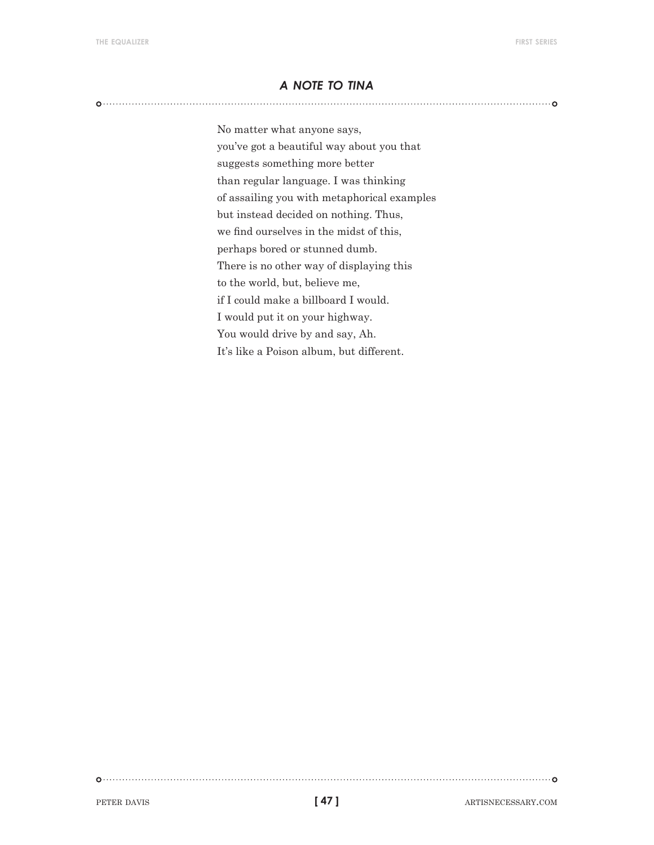#### *a note to tina*

No matter what anyone says, you've got a beautiful way about you that suggests something more better than regular language. I was thinking of assailing you with metaphorical examples but instead decided on nothing. Thus, we find ourselves in the midst of this, perhaps bored or stunned dumb. There is no other way of displaying this to the world, but, believe me, if I could make a billboard I would. I would put it on your highway. You would drive by and say, Ah. It's like a Poison album, but different.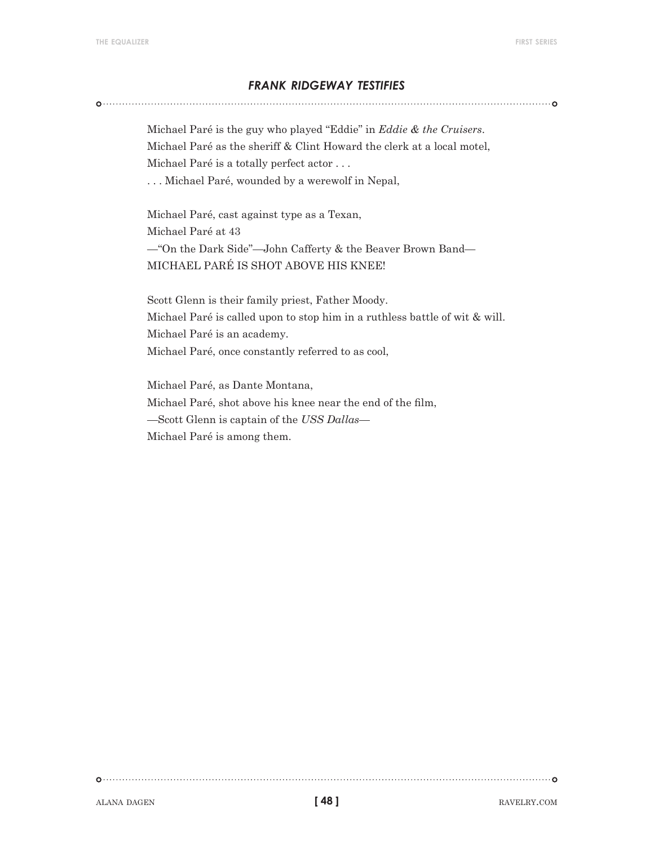#### *frank ridgeway testifies*

Michael Paré is the guy who played "Eddie" in *Eddie & the Cruisers*. Michael Paré as the sheriff & Clint Howard the clerk at a local motel, Michael Paré is a totally perfect actor . . .

. . . Michael Paré, wounded by a werewolf in Nepal,

Michael Paré, cast against type as a Texan, Michael Paré at 43 —"On the Dark Side"—John Cafferty & the Beaver Brown Band— MICHAEL PARÉ IS SHOT ABOVE HIS KNEE!

Scott Glenn is their family priest, Father Moody. Michael Paré is called upon to stop him in a ruthless battle of wit & will. Michael Paré is an academy. Michael Paré, once constantly referred to as cool,

Michael Paré, as Dante Montana, Michael Paré, shot above his knee near the end of the film, —Scott Glenn is captain of the *USS Dallas*— Michael Paré is among them.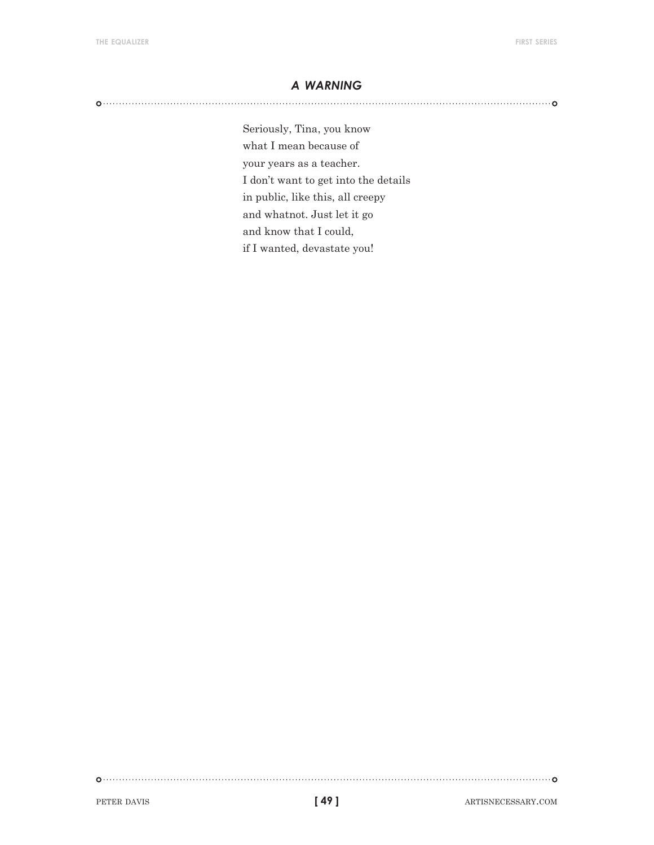#### *a warning*

Seriously, Tina, you know what I mean because of your years as a teacher. I don't want to get into the details in public, like this, all creepy and whatnot. Just let it go and know that I could, if I wanted, devastate you!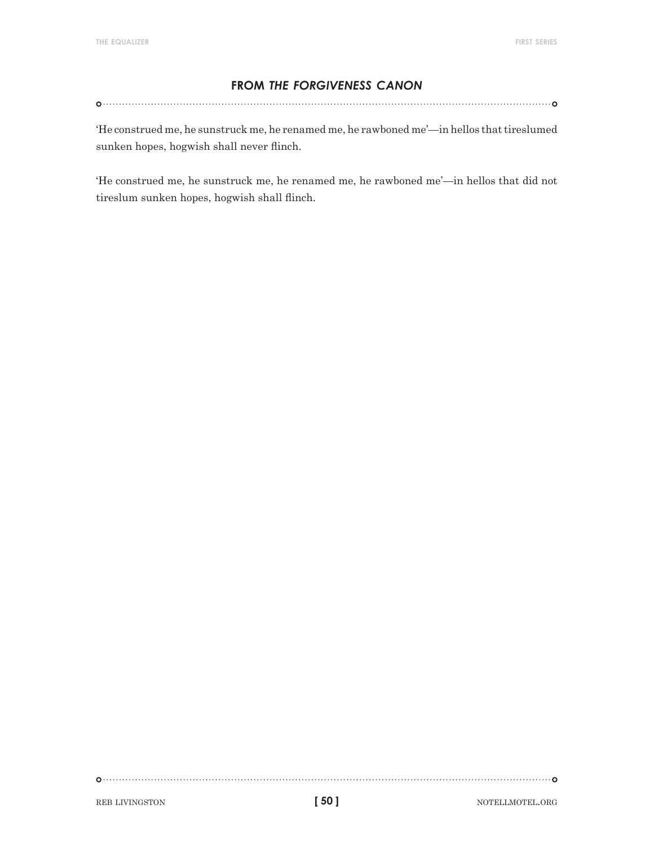#### **from** *the forgiveness canon*

'He construed me, he sunstruck me, he renamed me, he rawboned me'—in hellos that tireslumed sunken hopes, hogwish shall never flinch.

'He construed me, he sunstruck me, he renamed me, he rawboned me'—in hellos that did not tireslum sunken hopes, hogwish shall flinch.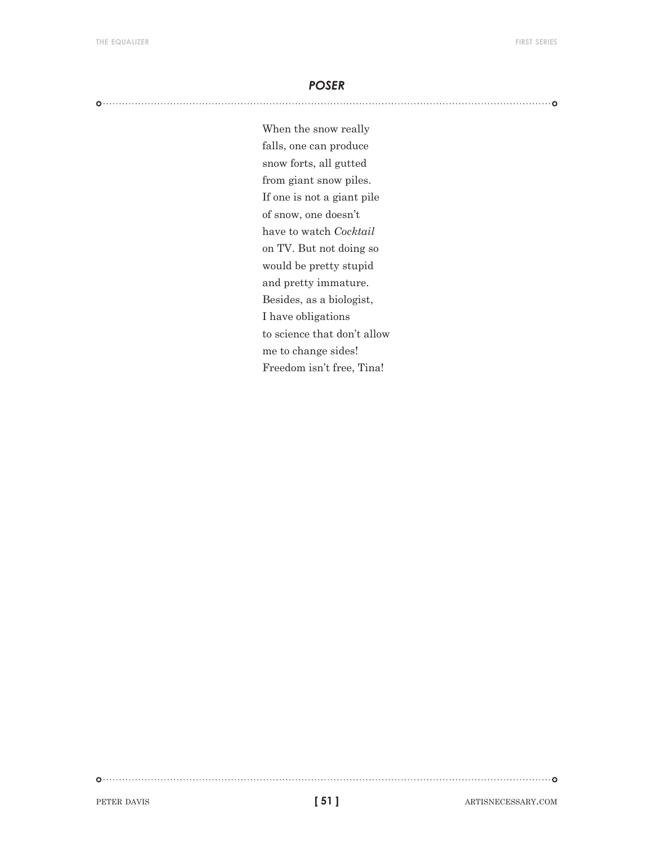#### *poser*

When the snow really falls, one can produce snow forts, all gutted from giant snow piles. If one is not a giant pile of snow, one doesn't have to watch *Cocktail* on TV. But not doing so would be pretty stupid and pretty immature. Besides, as a biologist, I have obligations to science that don't allow me to change sides! Freedom isn't free, Tina!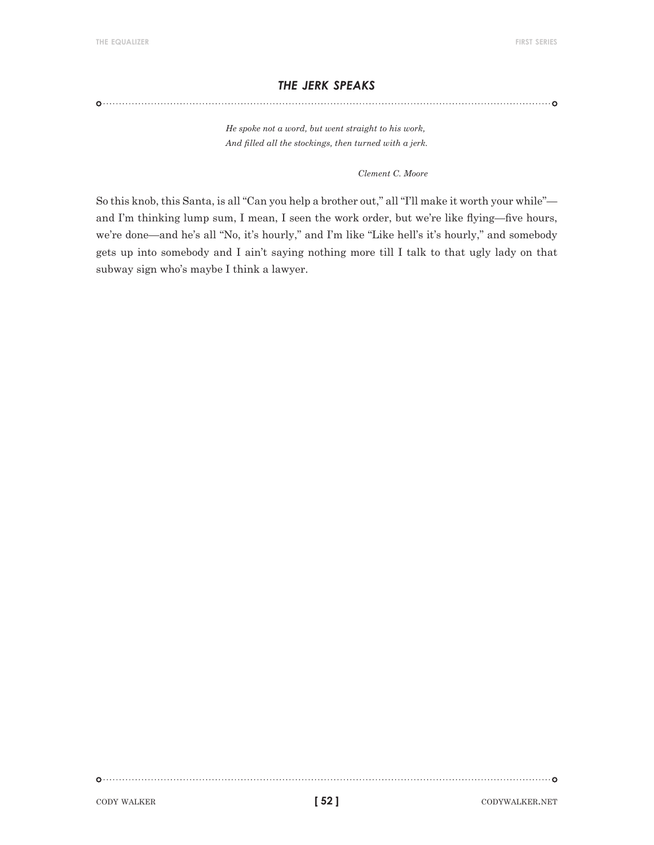#### *the jerk speaks*

*He spoke not a word, but went straight to his work, And filled all the stockings, then turned with a jerk.*

*Clement C. Moore*

So this knob, this Santa, is all "Can you help a brother out," all "I'll make it worth your while" and I'm thinking lump sum, I mean, I seen the work order, but we're like flying—five hours, we're done—and he's all "No, it's hourly," and I'm like "Like hell's it's hourly," and somebody gets up into somebody and I ain't saying nothing more till I talk to that ugly lady on that subway sign who's maybe I think a lawyer.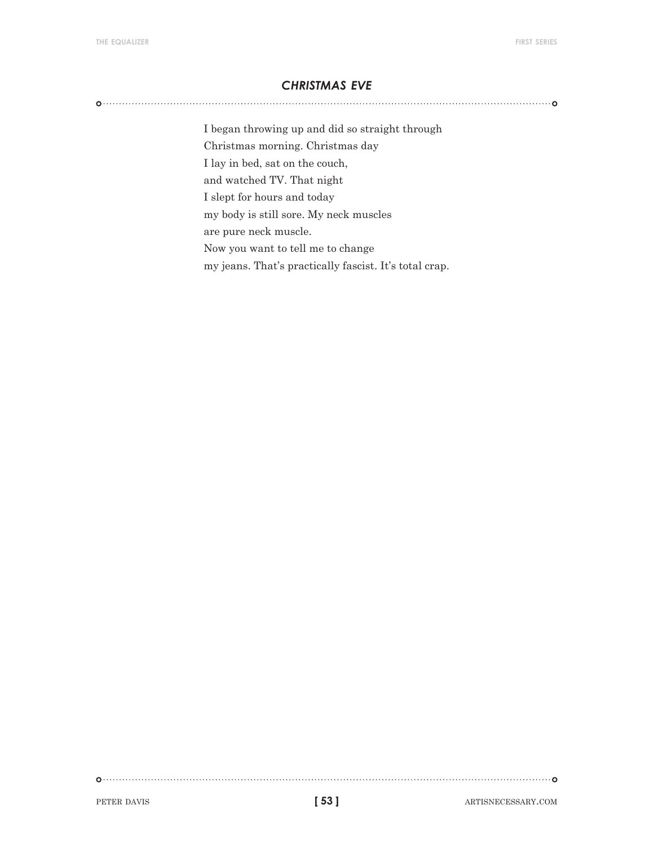#### *christmas eve*

I began throwing up and did so straight through Christmas morning. Christmas day I lay in bed, sat on the couch, and watched TV. That night I slept for hours and today my body is still sore. My neck muscles are pure neck muscle. Now you want to tell me to change my jeans. That's practically fascist. It's total crap.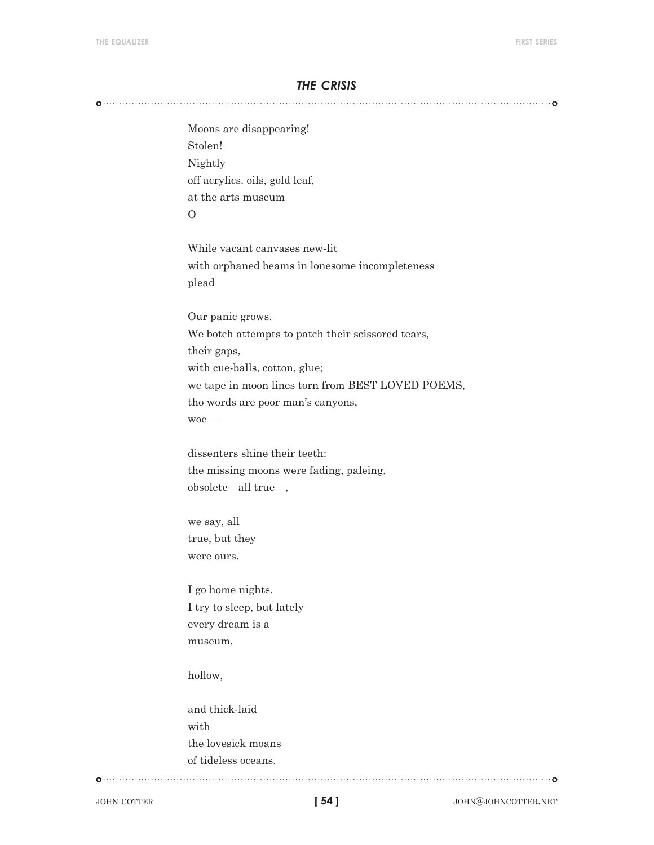#### *the crisis*

Moons are disappearing! Stolen! Nightly off acrylics. oils, gold leaf, at the arts museum  $\Omega$ 

While vacant canvases new-lit with orphaned beams in lonesome incompleteness plead

Our panic grows. We botch attempts to patch their scissored tears, their gaps, with cue-balls, cotton, glue; we tape in moon lines torn from BEST LOVED POEMS, tho words are poor man's canyons, woe—

dissenters shine their teeth: the missing moons were fading, paleing, obsolete—all true—,

we say, all true, but they were ours.

I go home nights. I try to sleep, but lately every dream is a museum,

hollow,

and thick-laid with the lovesick moans of tideless oceans.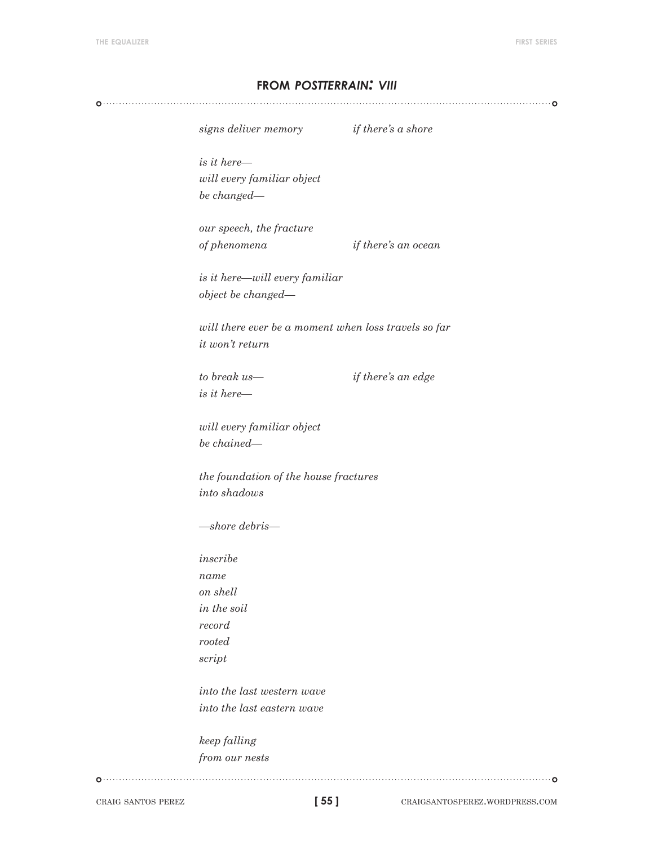#### **from** *postterrain: viii*

*signs deliver memory if there's a shore*

*is it here will every familiar object be changed—* 

*our speech, the fracture of phenomena if there's an ocean*

*is it here—will every familiar object be changed—*

*will there ever be a moment when loss travels so far it won't return*

*is it here—*

*to break us— if there's an edge*

*will every familiar object be chained—*

*the foundation of the house fractures into shadows*

*—shore debris—*

*inscribe name on shell in the soil record rooted script*

*into the last western wave into the last eastern wave*

*keep falling from our nests*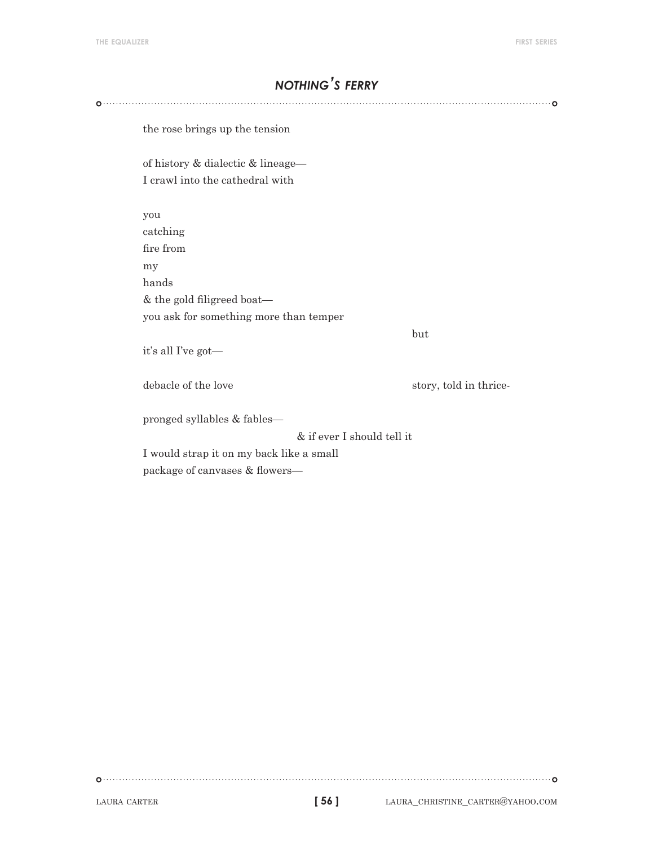# *nothing's ferry*

the rose brings up the tension of history & dialectic & lineage— I crawl into the cathedral with you catching fire from my hands & the gold filigreed boat you ask for something more than temper but a state of the state of the state of the state of the state of the state of the state of the state of the it's all I've got debacle of the love story, told in thricepronged syllables & fables— & if ever I should tell it I would strap it on my back like a small

package of canvases & flowers—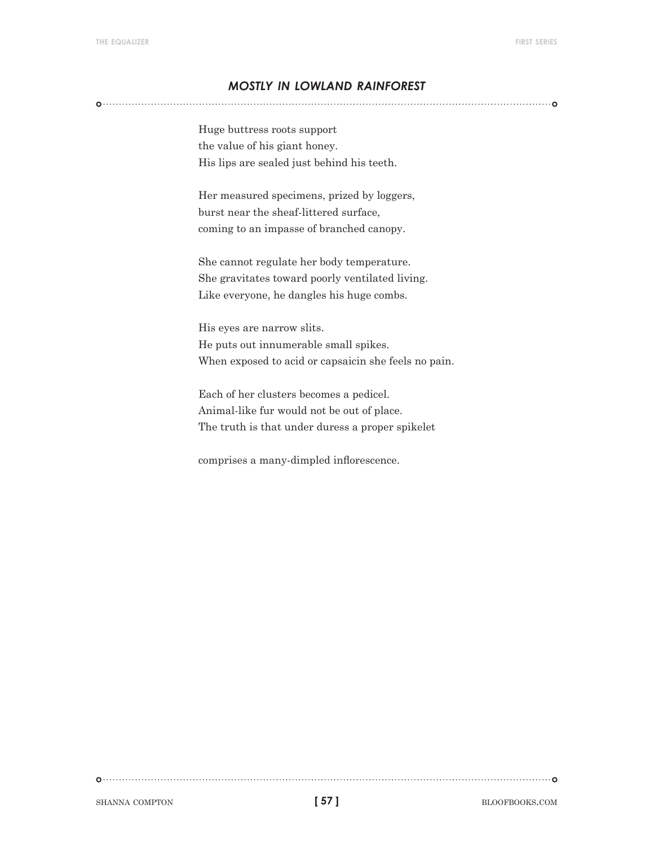#### *mostly in lowland rainforest*

Huge buttress roots support the value of his giant honey. His lips are sealed just behind his teeth.

Her measured specimens, prized by loggers, burst near the sheaf-littered surface, coming to an impasse of branched canopy.

She cannot regulate her body temperature. She gravitates toward poorly ventilated living. Like everyone, he dangles his huge combs.

His eyes are narrow slits. He puts out innumerable small spikes. When exposed to acid or capsaicin she feels no pain.

Each of her clusters becomes a pedicel. Animal-like fur would not be out of place. The truth is that under duress a proper spikelet

comprises a many-dimpled inflorescence.

shanna compton bloofbooks.com **bloofbooks.com bloofbooks.com** 

**[ 57 ]**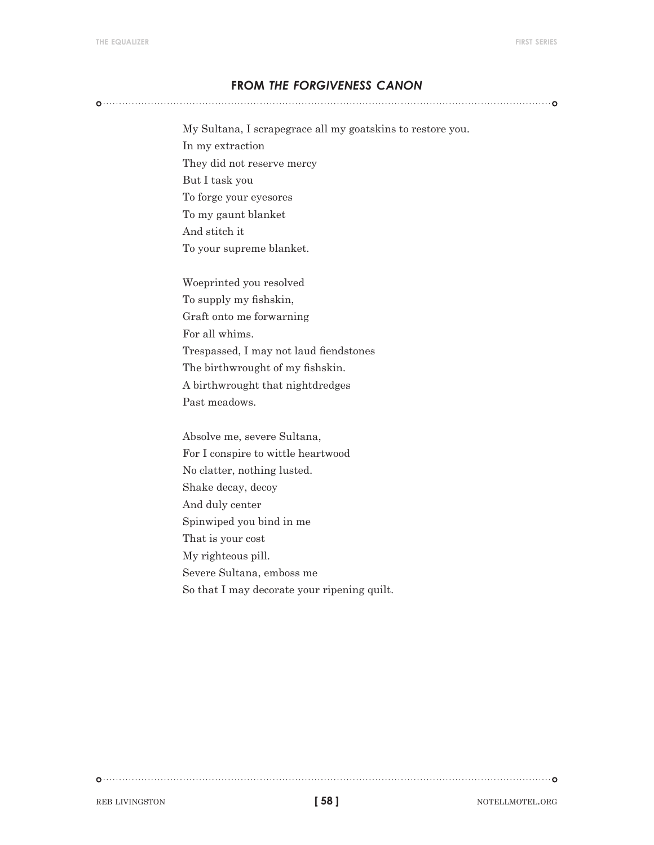#### **from** *the forgiveness canon*

My Sultana, I scrapegrace all my goatskins to restore you. In my extraction They did not reserve mercy But I task you

To forge your eyesores

To my gaunt blanket And stitch it

To your supreme blanket.

Woeprinted you resolved To supply my fishskin, Graft onto me forwarning For all whims. Trespassed, I may not laud fiendstones The birthwrought of my fishskin. A birthwrought that nightdredges Past meadows.

Absolve me, severe Sultana, For I conspire to wittle heartwood No clatter, nothing lusted. Shake decay, decoy And duly center Spinwiped you bind in me That is your cost My righteous pill. Severe Sultana, emboss me So that I may decorate your ripening quilt.

**[ 58 ]**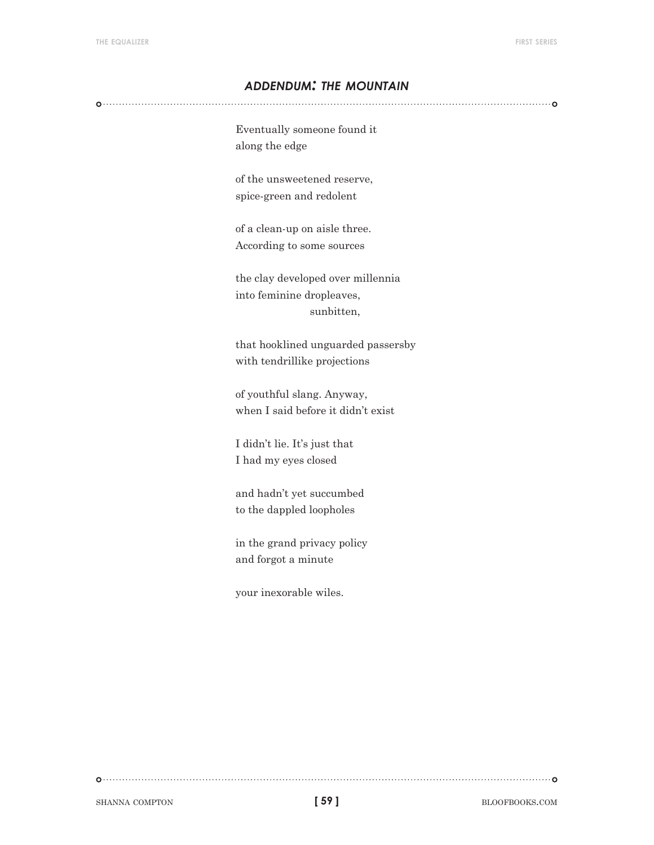#### *addendum: the mountain*

Eventually someone found it along the edge

of the unsweetened reserve, spice-green and redolent

of a clean-up on aisle three. According to some sources

the clay developed over millennia into feminine dropleaves, sunbitten,

that hooklined unguarded passersby with tendrillike projections

of youthful slang. Anyway, when I said before it didn't exist

I didn't lie. It's just that I had my eyes closed

and hadn't yet succumbed to the dappled loopholes

in the grand privacy policy and forgot a minute

your inexorable wiles.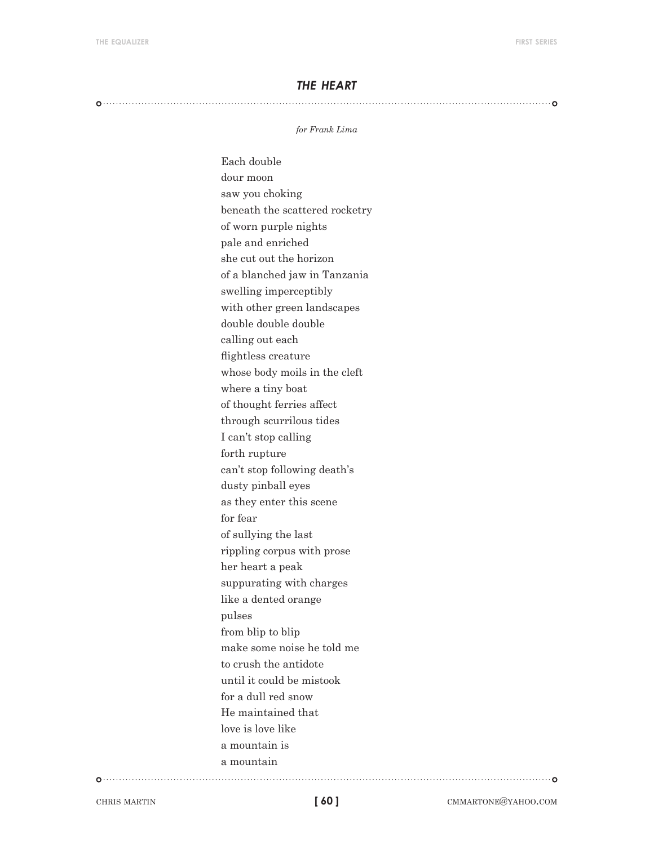#### *the heart*

#### 

#### *for Frank Lima*

Each double dour moon saw you choking beneath the scattered rocketry of worn purple nights pale and enriched she cut out the horizon of a blanched jaw in Tanzania swelling imperceptibly with other green landscapes double double double calling out each flightless creature whose body moils in the cleft where a tiny boat of thought ferries affect through scurrilous tides I can't stop calling forth rupture can't stop following death's dusty pinball eyes as they enter this scene for fear of sullying the last rippling corpus with prose her heart a peak suppurating with charges like a dented orange pulses from blip to blip make some noise he told me to crush the antidote until it could be mistook for a dull red snow He maintained that love is love like a mountain is a mountain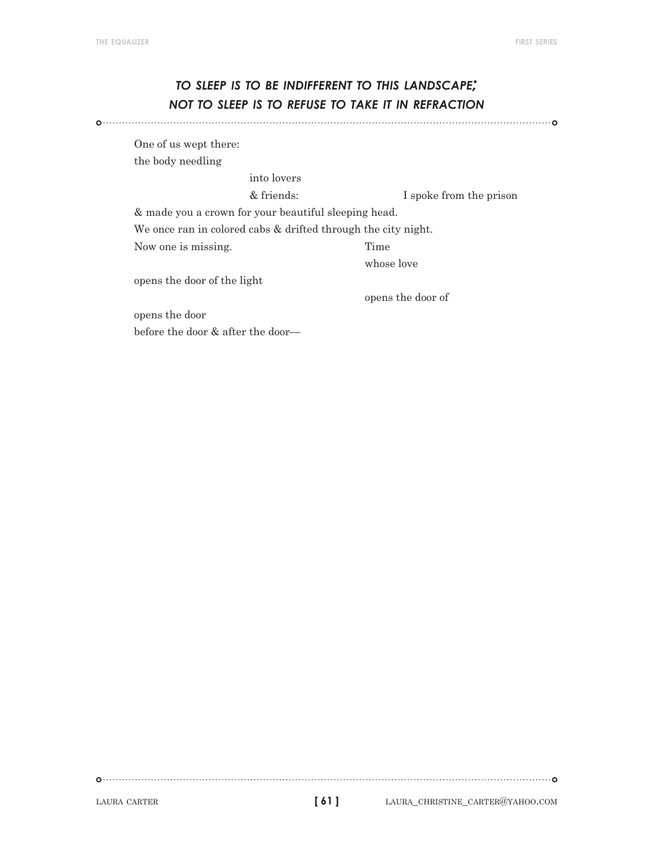# *to sleep is to be indifferent to this landscape; not to sleep is to refuse to take it in refraction*

One of us wept there: the body needling

into lovers

& friends: I spoke from the prison

& made you a crown for your beautiful sleeping head.

We once ran in colored cabs & drifted through the city night.

Now one is missing. Time

whose love

opens the door of the light

opens the door of

opens the door before the door & after the door—